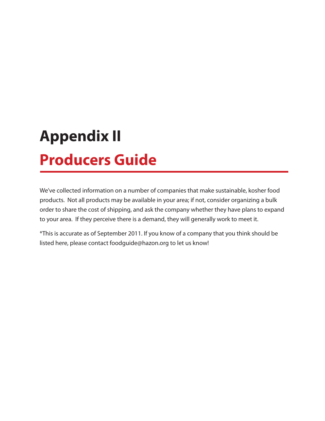# **Appendix II Producers Guide**

We've collected information on a number of companies that make sustainable, kosher food products. Not all products may be available in your area; if not, consider organizing a bulk order to share the cost of shipping, and ask the company whether they have plans to expand to your area. If they perceive there is a demand, they will generally work to meet it.

\*This is accurate as of September 2011. If you know of a company that you think should be listed here, please contact foodguide@hazon.org to let us know!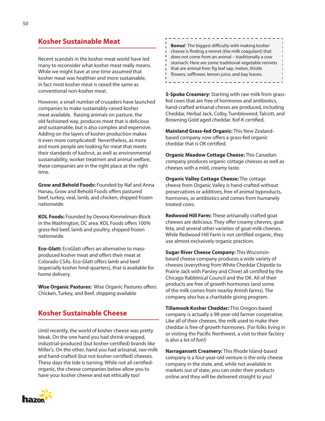#### **Kosher Sustainable Meat**

Recent scandals in the kosher meat world have led many to reconsider what kosher meat really means. While we might have at one time assumed that kosher meat was healthier and more sustainable, in fact most kosher meat is raised the same as conventional non-kosher meat.

However, a small number of crusaders have launched companies to make sustainably-raised kosher meat available. Raising animals on pasture, the old fashioned way, produces meat that is delicious and sustainable, but is also complex and expensive. Adding on the layers of kosher production makes it even more complicated! Nevertheless, as more and more people are looking for meat that meets their standards of kashrut, as well as environmental sustainability, worker treatmen and animal welfare, these companies are in the right place at the right time.

**Grow and Behold Foods:** Founded by Naf and Anna Hanau, Grow and Behold Foods offers pastured beef, turkey, veal, lamb, and chicken, shipped frozen nationwide.

**KOL Foods:** Founded by Devora Kimmelman-Block in the Washington, DC area. KOL Foods offers 100% grass-fed beef, lamb and poultry, shipped frozen nationwide.

**Eco-Glatt:** EcoGlatt offers an alternative to massproduced kosher meat and offers their meat at Colorado CSAs. Eco-Glatt offers lamb and beef (especially kosher hind-quarters), that is available for home delivery.

**Wise Organic Pastures:** Wise Organic Pastures offers: Chicken, Turkey, and Beef, shipping available

# **Kosher Sustainable Cheese**

Until recently, the world of kosher cheese was pretty bleak. On the one hand you had shrink wrapped, industrial-produced (but kosher-certified) brands like Miller's. On the other, hand you had artisanal, raw-milk and hand-crafted (but not kosher-certified) cheeses. These days the tide is turning. While not all certifiedorganic, the cheese companies below allow you to have your kosher cheese and eat ethically too!

**Bonus!** The biggest difficulty with making kosher cheese is finding a rennet (the milk coagulant) that does not come from an animal – traditionally a cow stomach. Here are some traditional vegetable rennets that are animal-free: fig leaf sap, melon, thistle flowers, safflower, lemon juice, and bay leaves.<u> - - - - - - - - - - - - - -</u>

**5-Spoke Creamery**: Starting with raw-milk from grassfed cows that are free of hormones and antibiotics, hand-crafted artisanal cheses are produced, including Cheddar, Herbal Jack, Colby, Tumbleweed, Talcott, and Browning Gold aged cheddar. Kof-K certified.

**Mainland Grass-fed Organic:** This New Zealandbased company now offers a grass-fed organic cheddar that is OK certified.

**Organic Meadow Cottage Cheese:** This Canadian company produces organic cottage cheeses as well as cheeses with a mild, creamy taste.

**Organic Valley Cottage Cheese:** The cottage cheese from Organic Valley is hand-crafted without preservatives or additives, free of animal byproducts, hormones, or antibiotics and comes from humanely treated cows.

**Redwood Hill Farm:** These artisanally crafted goat cheeses are delicious. They offer creamy chevres, goat feta, and several other varieties of goat-milk cheeses. While Redwood Hill Farm is not certified organic, they use almost exclusively organic practices.

**Sugar River Cheese Company:** This Wisconsinbased cheese company produces a wide variety of cheeses (everything from White Cheddar Chipotle to Prairie Jack with Parsley and Chive) all certified by the Chicago Rabbinical Council and the OK. All of their products are free of growth hormones (and some of the milk comes from nearby Amish farms). The company also has a charitable giving program.

**Tillamook Kosher Cheddar:** This Oregon-based company is actually a 98-year-old farmer cooperative. Like all of their cheeses, the milk used to make their cheddar is free of growth hormones. (For folks living in or visiting the Pacific Northwest, a visit to their factory is also a lot of fun!)

**Narragansett Creamery:** This Rhode Island-based company is a four-year-old venture is the only cheese company in the state, and, while not available in markets out of state, you can order their products online and they will be delivered straight to you!